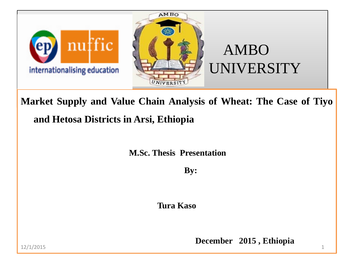

**Market Supply and Value Chain Analysis of Wheat: The Case of Tiyo and Hetosa Districts in Arsi, Ethiopia**

**M.Sc. Thesis Presentation**

 **By:**

**Tura Kaso**

**December 2015, Ethiopia**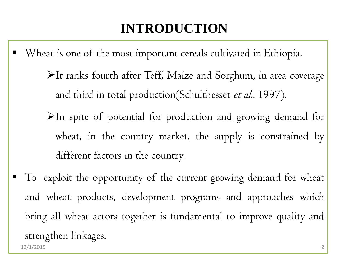## **INTRODUCTION**

- Wheat is one of the most important cereals cultivated in Ethiopia. It ranks fourth after Teff, Maize and Sorghum, in area coverage and third in total production(Schulthesset et al., 1997).  $\blacktriangleright$ In spite of potential for production and growing demand for wheat, in the country market, the supply is constrained by different factors in the country.
- To exploit the opportunity of the current growing demand for wheat and wheat products, development programs and approaches which bring all wheat actors together is fundamental to improve quality and strengthen linkages. 12/1/2015 2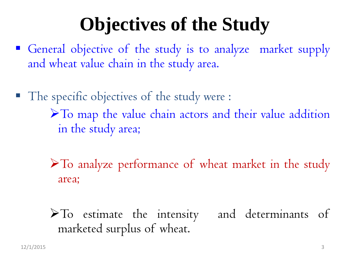# **Objectives of the Study**

- General objective of the study is to analyze market supply and wheat value chain in the study area.
- The specific objectives of the study were : To map the value chain actors and their value addition in the study area;
	- To analyze performance of wheat market in the study area;

To estimate the intensity and determinants of marketed surplus of wheat.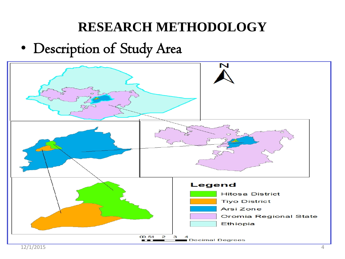### **RESEARCH METHODOLOGY**

### • Description of Study Area

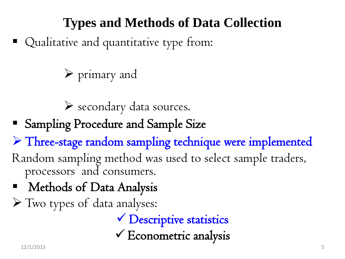## **Types and Methods of Data Collection**

■ Qualitative and quantitative type from:

primary and

secondary data sources.

Sampling Procedure and Sample Size

Three-stage random sampling technique were implemented

- Random sampling method was used to select sample traders, processors and consumers.
- Methods of Data Analysis
- Two types of data analyses:

 Descriptive statistics  $\checkmark$  Econometric analysis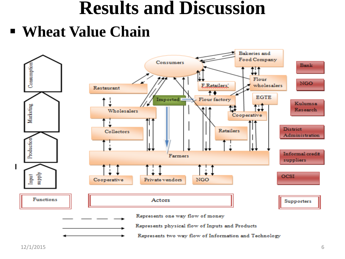## **Results and Discussion**

**Wheat Value Chain**

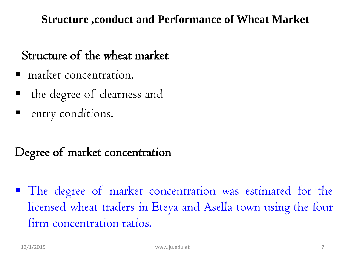#### **Structure ,conduct and Performance of Wheat Market**

#### Structure of the wheat market

- $\blacksquare$  market concentration,
- the degree of clearness and
- entry conditions.

#### Degree of market concentration

• The degree of market concentration was estimated for the licensed wheat traders in Eteya and Asella town using the four firm concentration ratios.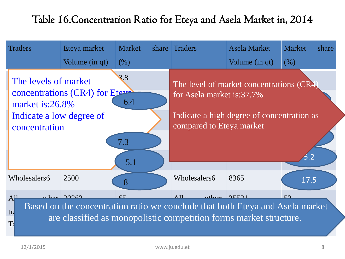#### Table 16.Concentration Ratio for Eteya and Asela Market in, 2014

| <b>Traders</b>                                                                                                                                                                                                                                                      | Eteya market   | Market<br>share | <b>Traders</b>                                                                                                                                  | <b>Asela Market</b> | <b>Market</b><br>share |  |  |  |
|---------------------------------------------------------------------------------------------------------------------------------------------------------------------------------------------------------------------------------------------------------------------|----------------|-----------------|-------------------------------------------------------------------------------------------------------------------------------------------------|---------------------|------------------------|--|--|--|
|                                                                                                                                                                                                                                                                     | Volume (in qt) | (% )            |                                                                                                                                                 | Volume (in qt)      | (% )                   |  |  |  |
| 3.8<br>The levels of market<br>concentrations (CR4) for Eterman<br>6.4<br>market is:26.8%<br>Indicate a low degree of<br>concentration<br>7.3                                                                                                                       |                |                 | The level of market concentrations (CR4)<br>for Asela market is:37.7%<br>Indicate a high degree of concentration as<br>compared to Eteya market |                     |                        |  |  |  |
|                                                                                                                                                                                                                                                                     |                | 5.1             |                                                                                                                                                 |                     |                        |  |  |  |
| Wholesalers6                                                                                                                                                                                                                                                        | 2500           | 8               | Wholesalers6                                                                                                                                    | 8365                | 17.5                   |  |  |  |
| other 20262<br>$\Lambda$ 11<br>othoro $25521$<br>50<br>$\epsilon$<br>A <sup>11</sup><br>Based on the concentration ratio we conclude that both Eteya and Asela market<br>tr <sub>l</sub><br>are classified as monopolistic competition forms market structure.<br>T |                |                 |                                                                                                                                                 |                     |                        |  |  |  |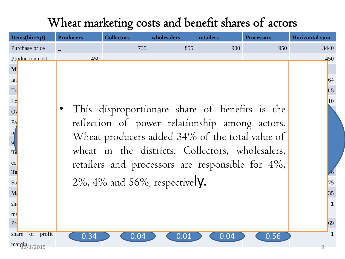#### Wheat marketing costs and benefit shares of actors

| Items(birr/qt)     | <b>Producers</b>                               | <b>Collectors</b>                                    | wholesalers | retailers | <b>Processors</b> | <b>Horizontal sum</b> |
|--------------------|------------------------------------------------|------------------------------------------------------|-------------|-----------|-------------------|-----------------------|
| Purchase price     |                                                | 735                                                  | 855         | 900       | 950               | 3440                  |
| Production cost    | 450                                            |                                                      |             |           |                   | 450                   |
| M                  |                                                |                                                      |             |           |                   |                       |
| lat                |                                                |                                                      |             |           |                   | 64                    |
| Tr                 |                                                |                                                      |             |           |                   | $\vert .5 \vert$      |
| Lo                 |                                                | 10                                                   |             |           |                   |                       |
| O <sub>1</sub>     | This disproportionate share of benefits is the |                                                      |             |           |                   |                       |
| Pa                 | reflection of power relationship among actors. |                                                      |             |           |                   |                       |
| $\mathbf{m}$       |                                                |                                                      |             |           |                   |                       |
| t <sub>4</sub>     |                                                | Wheat producers added 34% of the total value of      |             |           |                   |                       |
| <b>T</b>           |                                                | wheat in the districts. Collectors, wholesalers,     |             |           |                   |                       |
| CO                 |                                                | retailers and processors are responsible for $4\%$ , |             |           |                   |                       |
| T <sub>0</sub>     |                                                |                                                      |             |           |                   |                       |
| Sa                 |                                                | $2\%$ , $4\%$ and $56\%$ , respectively.             |             |           |                   | 75                    |
| M                  |                                                |                                                      |             |           |                   | 35                    |
| sh                 |                                                |                                                      |             |           |                   | $\mathbf{1}$          |
| m <sub>i</sub>     |                                                |                                                      |             |           |                   |                       |
| Pr                 |                                                |                                                      |             |           |                   | 69                    |
| of profit<br>share | 0.34                                           | 0.04                                                 | 0.01        | 0.04      | 0.56              | 1                     |
| margin/1/2015      |                                                |                                                      |             |           |                   | $\mathcal{Q}$         |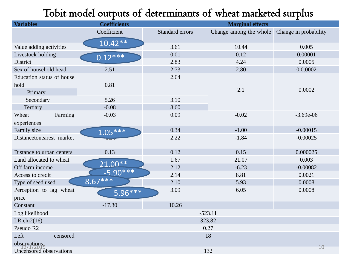#### Tobit model outputs of determinants of wheat marketed surplus

| <b>Variables</b>          | <b>Coefficients</b> |                 | <b>Marginal effects</b> |                       |  |  |
|---------------------------|---------------------|-----------------|-------------------------|-----------------------|--|--|
|                           | Coefficient         | Standard errors | Change among the whole  | Change in probability |  |  |
|                           | $10.42**$           |                 |                         |                       |  |  |
| Value adding activities   |                     | 3.61            | 10.44                   | 0.005                 |  |  |
| Livestock holding         | $0.12***$           | 0.01            | 0.12                    | 0.00001               |  |  |
| District                  |                     | 2.83            | 4.24                    | 0.0005                |  |  |
| Sex of household head     | 2.51                | 2.73            | 2.80                    | 0.0.0002              |  |  |
| Education status of house |                     | 2.64            |                         |                       |  |  |
| hold                      | 0.81                |                 |                         |                       |  |  |
| Primary                   |                     |                 | 2.1                     | 0.0002                |  |  |
| Secondary                 | 5.26                | 3.10            |                         |                       |  |  |
| Tertiary                  | $-0.08$             | 8.60            |                         |                       |  |  |
| Farming<br>Wheat          | $-0.03$             | 0.09            | $-0.02$                 | $-3.69e-06$           |  |  |
| experiences               |                     |                 |                         |                       |  |  |
| Family size               | $-1.05***$          | 0.34            | $-1.00$                 | $-0.00015$            |  |  |
| Distancetonearest market  | $\overline{1}$      | 2.22            | $-1.84$                 | $-0.00025$            |  |  |
|                           |                     |                 |                         |                       |  |  |
| Distance to urban centers | 0.13                | 0.12            | 0.15                    | 0.000025              |  |  |
| Land allocated to wheat   | $21.00**$           | 1.67            | 21.07                   | 0.003                 |  |  |
| Off farm income           |                     | 2.12            | $-6.23$                 | $-0.00082$            |  |  |
| Access to credit          | $-5.90***$          | 2.14            | 8.81                    | 0.0021                |  |  |
| Type of seed used         | $8.67***$           | 2.10            | 5.93                    | 0.0008                |  |  |
| Perception to lag wheat   | $5.96***$           | 3.09            | 6.05                    | 0.0008                |  |  |
| price                     |                     |                 |                         |                       |  |  |
| Constant                  | $-17.30$            | 10.26           |                         |                       |  |  |
| Log likelihood            | $-523.11$           |                 |                         |                       |  |  |
| LR chi $2(16)$            | 323.82              |                 |                         |                       |  |  |
| Pseudo R2                 | 0.27                |                 |                         |                       |  |  |
| Left<br>censored          | 18                  |                 |                         |                       |  |  |
| observations              |                     |                 |                         | 10                    |  |  |
| Uncensored observations   |                     |                 | 132                     |                       |  |  |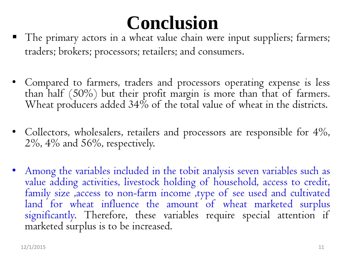# **Conclusion**

- The primary actors in a wheat value chain were input suppliers; farmers; traders; brokers; processors; retailers; and consumers.
- Compared to farmers, traders and processors operating expense is less than half (50%) but their profit margin is more than that of farmers. Wheat producers added 34% of the total value of wheat in the districts.
- Collectors, wholesalers, retailers and processors are responsible for 4%, 2%, 4% and 56%, respectively.
- Among the variables included in the tobit analysis seven variables such as value adding activities, livestock holding of household, access to credit, family size ,access to non-farm income ,type of see used and cultivated land for wheat influence the amount of wheat marketed surplus significantly. Therefore, these variables require special attention if marketed surplus is to be increased.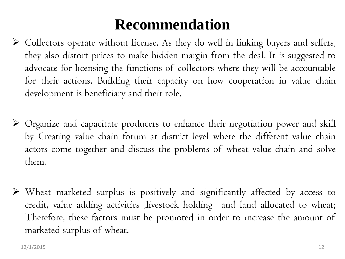## **Recommendation**

- Collectors operate without license. As they do well in linking buyers and sellers, they also distort prices to make hidden margin from the deal. It is suggested to advocate for licensing the functions of collectors where they will be accountable for their actions. Building their capacity on how cooperation in value chain development is beneficiary and their role.
- Organize and capacitate producers to enhance their negotiation power and skill by Creating value chain forum at district level where the different value chain actors come together and discuss the problems of wheat value chain and solve them.
- Wheat marketed surplus is positively and significantly affected by access to credit, value adding activities ,livestock holding and land allocated to wheat; Therefore, these factors must be promoted in order to increase the amount of marketed surplus of wheat.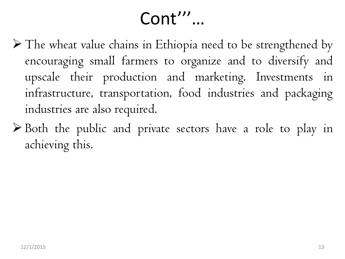## Cont'''…

- The wheat value chains in Ethiopia need to be strengthened by encouraging small farmers to organize and to diversify and upscale their production and marketing. Investments in infrastructure, transportation, food industries and packaging industries are also required.
- Both the public and private sectors have a role to play in achieving this.